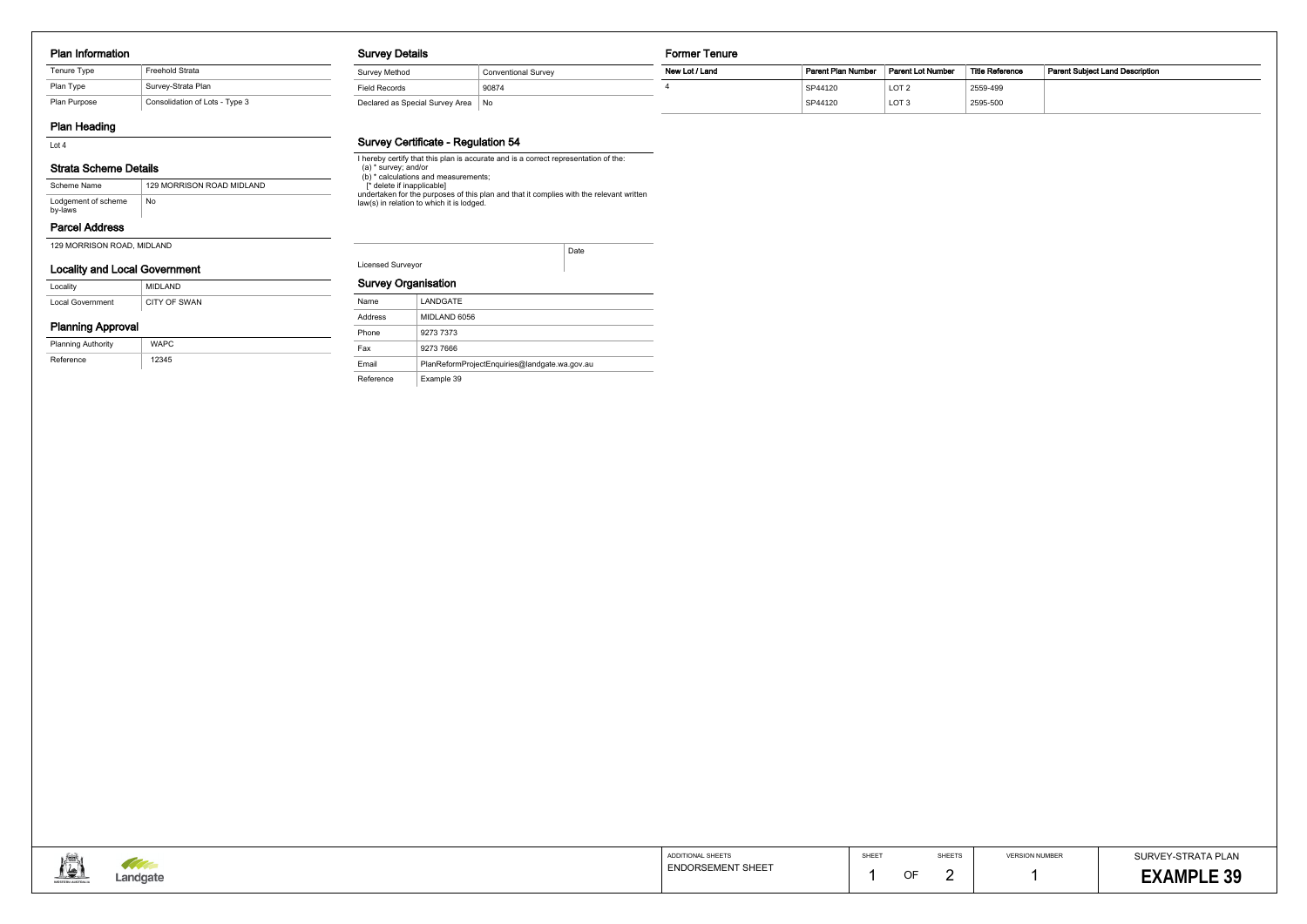#### Plan Information

| Tenure Type  | <b>Freehold Strata</b>         |
|--------------|--------------------------------|
| Plan Type    | Survey-Strata Plan             |
| Plan Purpose | Consolidation of Lots - Type 3 |

# Plan Heading

Lot 4

# Strata Scheme Details

# Parcel Address

| Scheme Name                    | 129 MORRISON ROAD MIDLAND |
|--------------------------------|---------------------------|
| Lodgement of scheme<br>by-laws | No.                       |

### Locality and Local Government

| Locality                | MIDLAND      |
|-------------------------|--------------|
| <b>Local Government</b> | CITY OF SWAN |

# Planning Approval

| <b>Planning Authority</b> | <b>WAPC</b> |
|---------------------------|-------------|
| Reference                 | 12345       |

#### Survey Details

# Survey Certificate - Regulation 54

| <b>Survey Details</b>                |                            | Former Tenure  |                    |                   |                        |                                 |  |
|--------------------------------------|----------------------------|----------------|--------------------|-------------------|------------------------|---------------------------------|--|
| Survey Method                        | <b>Conventional Survey</b> | New Lot / Land | Parent Plan Number | Parent Lot Number | <b>Title Reference</b> | Parent Subject Land Description |  |
| <b>Field Records</b>                 | 90874                      |                | SP44120            | LOT <sub>2</sub>  | 2559-499               |                                 |  |
| Declared as Special Survey Area   No |                            |                | SP44120            | LOT <sub>3</sub>  | 2595-500               |                                 |  |

# Survey Organisation

| Name      | LANDGATE                                      |
|-----------|-----------------------------------------------|
| Address   | MIDLAND 6056                                  |
| Phone     | 9273 7373                                     |
| Fax       | 9273 7666                                     |
| Email     | PlanReformProjectEnguiries@landgate.wa.gov.au |
| Reference | Example 39                                    |



| Lot 4                                                         |                          | Survey Germicale - Regulation 34                                                                                                     |      |                                               |             |             |                            |                                         |
|---------------------------------------------------------------|--------------------------|--------------------------------------------------------------------------------------------------------------------------------------|------|-----------------------------------------------|-------------|-------------|----------------------------|-----------------------------------------|
| <b>Strata Scheme Details</b>                                  | (a) $*$ survey; and/or   | I hereby certify that this plan is accurate and is a correct representation of the:<br>(b) * calculations and measurements;          |      |                                               |             |             |                            |                                         |
| 129 MORRISON ROAD MIDLAND<br>Scheme Name                      |                          | f <sup>*</sup> delete if inapplicable]                                                                                               |      |                                               |             |             |                            |                                         |
| $\overline{\phantom{a}}$ No<br>Lodgement of scheme<br>by-laws |                          | undertaken for the purposes of this plan and that it complies with the relevant written<br>law(s) in relation to which it is lodged. |      |                                               |             |             |                            |                                         |
| <b>Parcel Address</b>                                         |                          |                                                                                                                                      |      |                                               |             |             |                            |                                         |
| 129 MORRISON ROAD, MIDLAND                                    |                          |                                                                                                                                      | Date |                                               |             |             |                            |                                         |
| <b>Locality and Local Government</b>                          | <b>Licensed Surveyor</b> |                                                                                                                                      |      |                                               |             |             |                            |                                         |
| MIDLAND<br>Locality                                           |                          | <b>Survey Organisation</b>                                                                                                           |      |                                               |             |             |                            |                                         |
| CITY OF SWAN<br>Local Government                              | Name                     | LANDGATE                                                                                                                             |      |                                               |             |             |                            |                                         |
| <b>Planning Approval</b>                                      | Address                  | MIDLAND 6056                                                                                                                         |      |                                               |             |             |                            |                                         |
|                                                               | Phone                    | 9273 7373                                                                                                                            |      |                                               |             |             |                            |                                         |
| <b>Planning Authority</b><br><b>WAPC</b>                      | Fax                      | 9273 7666                                                                                                                            |      |                                               |             |             |                            |                                         |
| 12345<br>Reference                                            | Email                    | PlanReformProjectEnquiries@landgate.wa.gov.au                                                                                        |      |                                               |             |             |                            |                                         |
|                                                               |                          |                                                                                                                                      |      |                                               |             |             |                            |                                         |
| <b>TAN</b><br>Landgate                                        |                          |                                                                                                                                      |      | ADDITIONAL SHEETS<br><b>ENDORSEMENT SHEET</b> | SHEET<br>OF | SHEETS<br>2 | <b>VERSION NUMBER</b><br>1 | SURVEY-STRATA PLAN<br><b>EXAMPLE 39</b> |